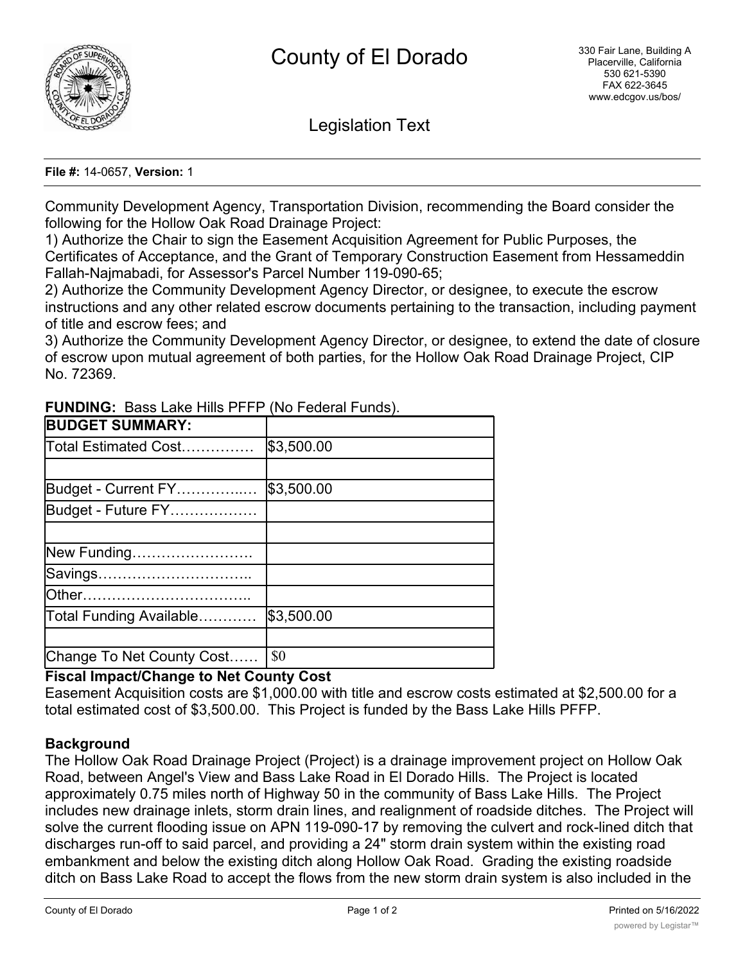

Legislation Text

#### **File #:** 14-0657, **Version:** 1

Community Development Agency, Transportation Division, recommending the Board consider the following for the Hollow Oak Road Drainage Project:

1) Authorize the Chair to sign the Easement Acquisition Agreement for Public Purposes, the Certificates of Acceptance, and the Grant of Temporary Construction Easement from Hessameddin Fallah-Najmabadi, for Assessor's Parcel Number 119-090-65;

2) Authorize the Community Development Agency Director, or designee, to execute the escrow instructions and any other related escrow documents pertaining to the transaction, including payment of title and escrow fees; and

3) Authorize the Community Development Agency Director, or designee, to extend the date of closure of escrow upon mutual agreement of both parties, for the Hollow Oak Road Drainage Project, CIP No. 72369.

| <b>BUDGET SUMMARY:</b>    |            |
|---------------------------|------------|
| Total Estimated Cost      | \$3,500.00 |
|                           |            |
| Budget - Current FY       | \$3,500.00 |
| Budget - Future FY        |            |
|                           |            |
| New Funding               |            |
| Savings                   |            |
|                           |            |
| Total Funding Available   | \$3,500.00 |
|                           |            |
| Change To Net County Cost | \$0        |

**FUNDING:** Bass Lake Hills PFFP (No Federal Funds).

# **Fiscal Impact/Change to Net County Cost**

Easement Acquisition costs are \$1,000.00 with title and escrow costs estimated at \$2,500.00 for a total estimated cost of \$3,500.00. This Project is funded by the Bass Lake Hills PFFP.

### **Background**

The Hollow Oak Road Drainage Project (Project) is a drainage improvement project on Hollow Oak Road, between Angel's View and Bass Lake Road in El Dorado Hills. The Project is located approximately 0.75 miles north of Highway 50 in the community of Bass Lake Hills. The Project includes new drainage inlets, storm drain lines, and realignment of roadside ditches. The Project will solve the current flooding issue on APN 119-090-17 by removing the culvert and rock-lined ditch that discharges run-off to said parcel, and providing a 24" storm drain system within the existing road embankment and below the existing ditch along Hollow Oak Road. Grading the existing roadside ditch on Bass Lake Road to accept the flows from the new storm drain system is also included in the